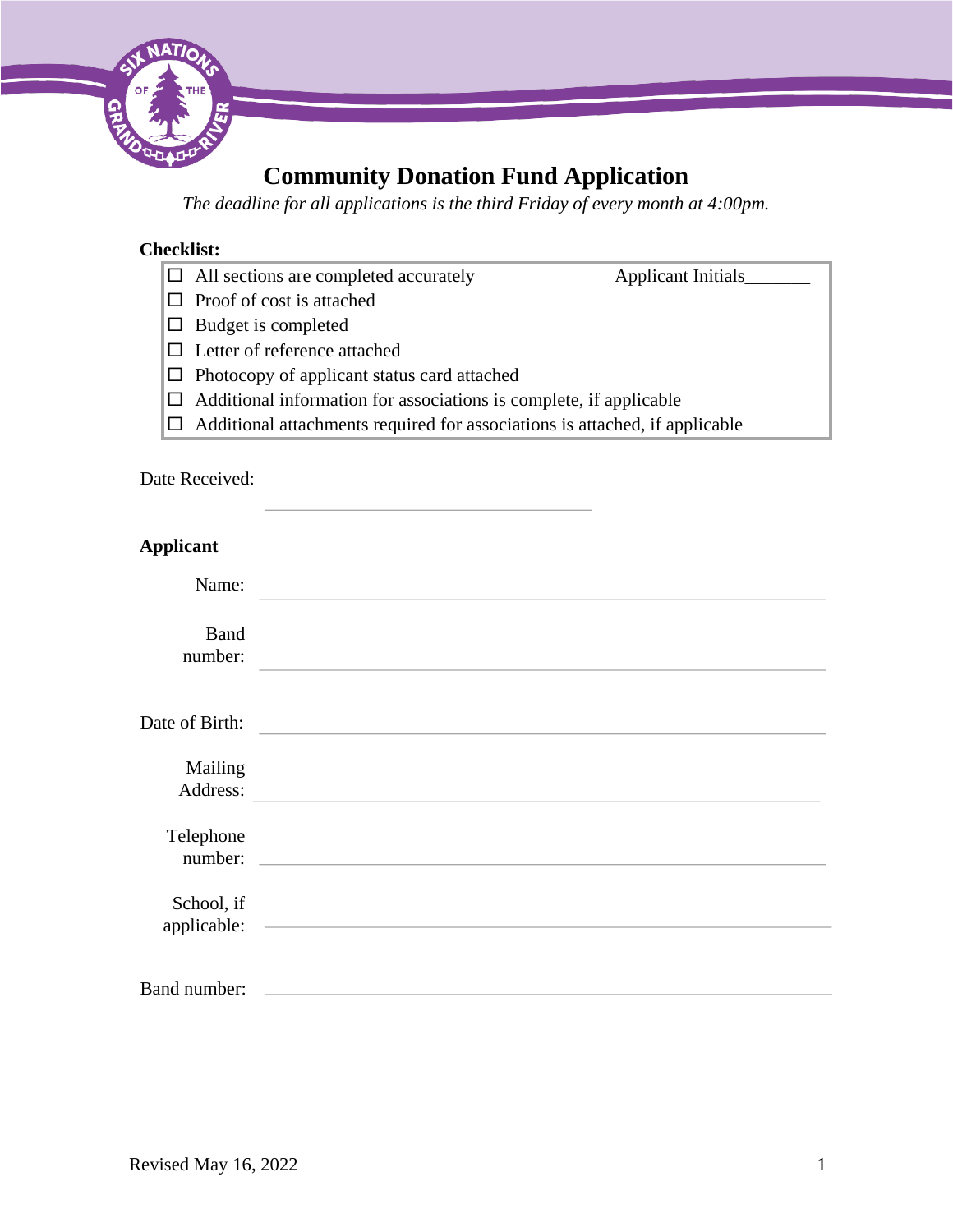

# **Community Donation Fund Application**

*The deadline for all applications is the third Friday of every month at 4:00pm.* 

# **Checklist:**

- All sections are completed accurately Applicant Initials\_\_\_\_\_\_\_
- $\Box$  Proof of cost is attached
- $\square$  Budget is completed
- □ Letter of reference attached
- $\Box$  Photocopy of applicant status card attached
- $\Box$  Additional information for associations is complete, if applicable
- $\Box$  Additional attachments required for associations is attached, if applicable

# Date Received:

| <b>Applicant</b>          |                                                                  |
|---------------------------|------------------------------------------------------------------|
| Name:                     |                                                                  |
| <b>Band</b><br>number:    |                                                                  |
| Date of Birth:            |                                                                  |
| Mailing<br>Address:       |                                                                  |
| Telephone<br>number:      |                                                                  |
| School, if<br>applicable: | <u> 1989 - Andrea Stadt Britain, amerikansk politik (* 1958)</u> |
| Band number:              |                                                                  |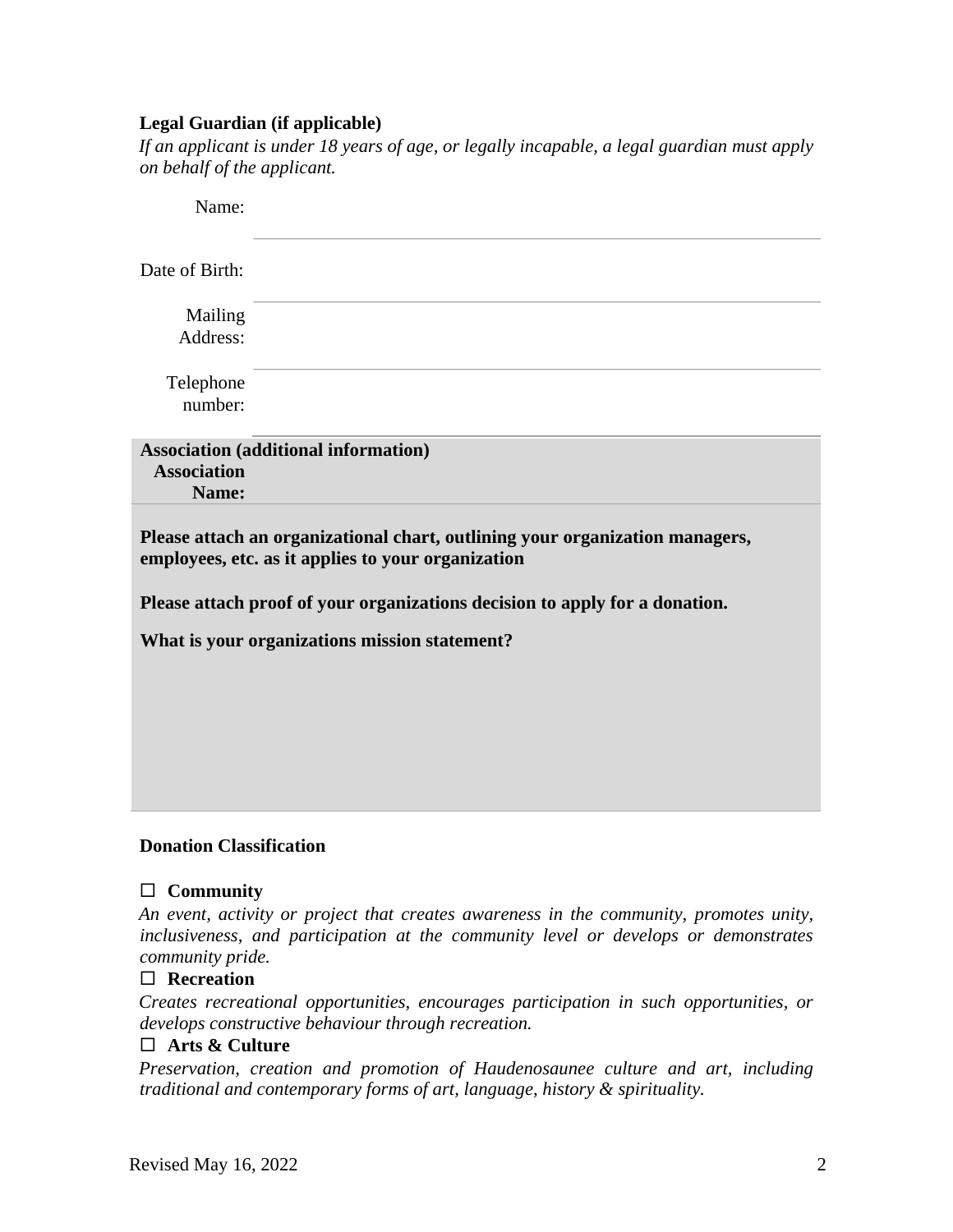# **Legal Guardian (if applicable)**

*If an applicant is under 18 years of age, or legally incapable, a legal guardian must apply on behalf of the applicant.* 

| Name:                                         |                                                                                                                                    |  |  |  |
|-----------------------------------------------|------------------------------------------------------------------------------------------------------------------------------------|--|--|--|
| Date of Birth:                                |                                                                                                                                    |  |  |  |
| Mailing<br>Address:                           |                                                                                                                                    |  |  |  |
| Telephone<br>number:                          |                                                                                                                                    |  |  |  |
| <b>Association</b><br>Name:                   | <b>Association (additional information)</b>                                                                                        |  |  |  |
|                                               | Please attach an organizational chart, outlining your organization managers,<br>employees, etc. as it applies to your organization |  |  |  |
|                                               | Please attach proof of your organizations decision to apply for a donation.                                                        |  |  |  |
| What is your organizations mission statement? |                                                                                                                                    |  |  |  |
|                                               |                                                                                                                                    |  |  |  |
|                                               |                                                                                                                                    |  |  |  |
|                                               |                                                                                                                                    |  |  |  |
|                                               |                                                                                                                                    |  |  |  |
|                                               |                                                                                                                                    |  |  |  |

# **Donation Classification**

# **Community**

*An event, activity or project that creates awareness in the community, promotes unity, inclusiveness, and participation at the community level or develops or demonstrates community pride.*

# **Recreation**

*Creates recreational opportunities, encourages participation in such opportunities, or develops constructive behaviour through recreation.* 

# **Arts & Culture**

*Preservation, creation and promotion of Haudenosaunee culture and art, including traditional and contemporary forms of art, language, history & spirituality.*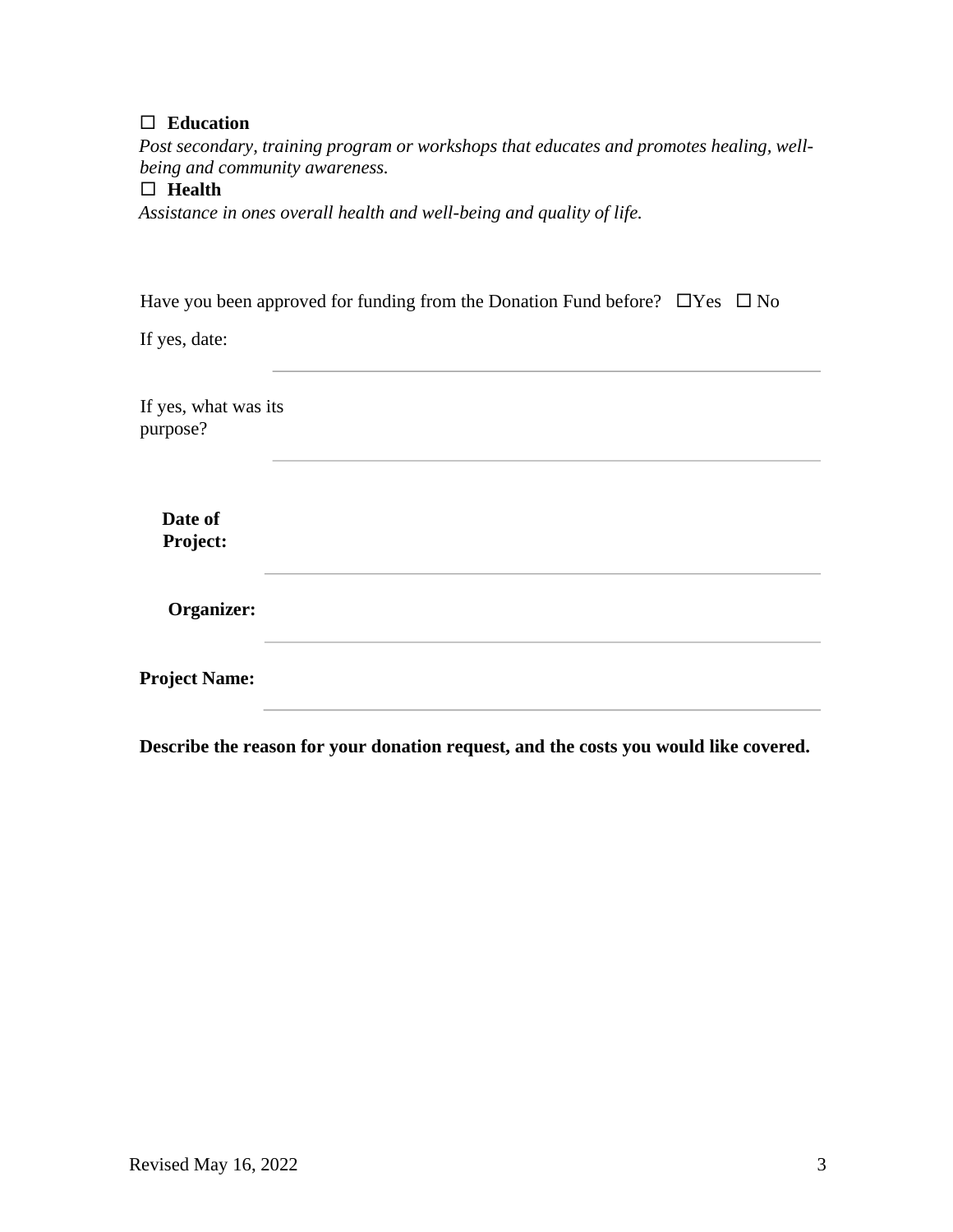# **Education**

*Post secondary, training program or workshops that educates and promotes healing, wellbeing and community awareness.*

# **Health**

*Assistance in ones overall health and well-being and quality of life.*

| Have you been approved for funding from the Donation Fund before? $\Box$ Yes $\Box$ No |  |  |  |
|----------------------------------------------------------------------------------------|--|--|--|
|                                                                                        |  |  |  |

If yes, date:

If yes, what was its purpose?

> **Date of Project:**

**Organizer:** 

**Project Name:** 

**Describe the reason for your donation request, and the costs you would like covered.**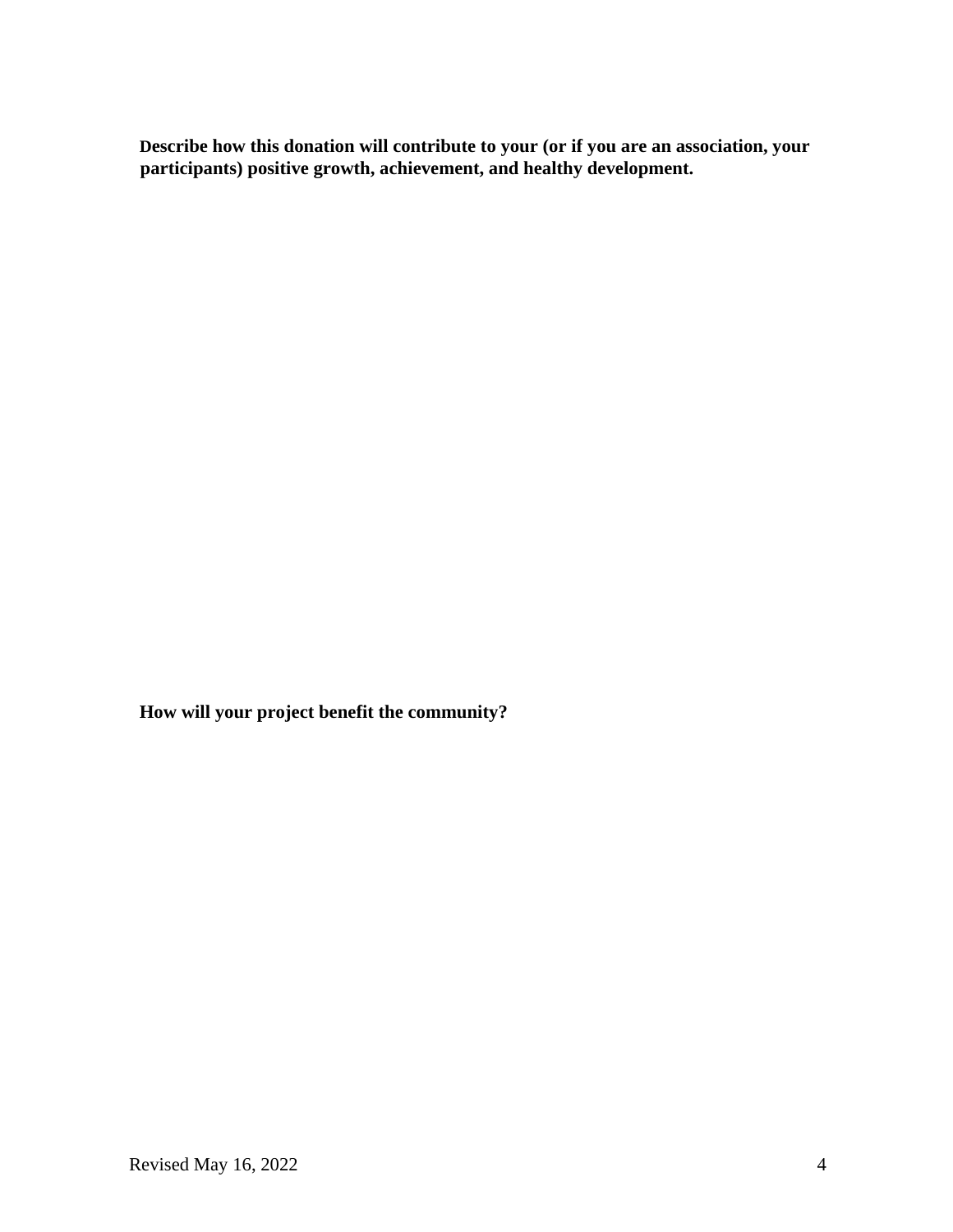**Describe how this donation will contribute to your (or if you are an association, your participants) positive growth, achievement, and healthy development.** 

**How will your project benefit the community?**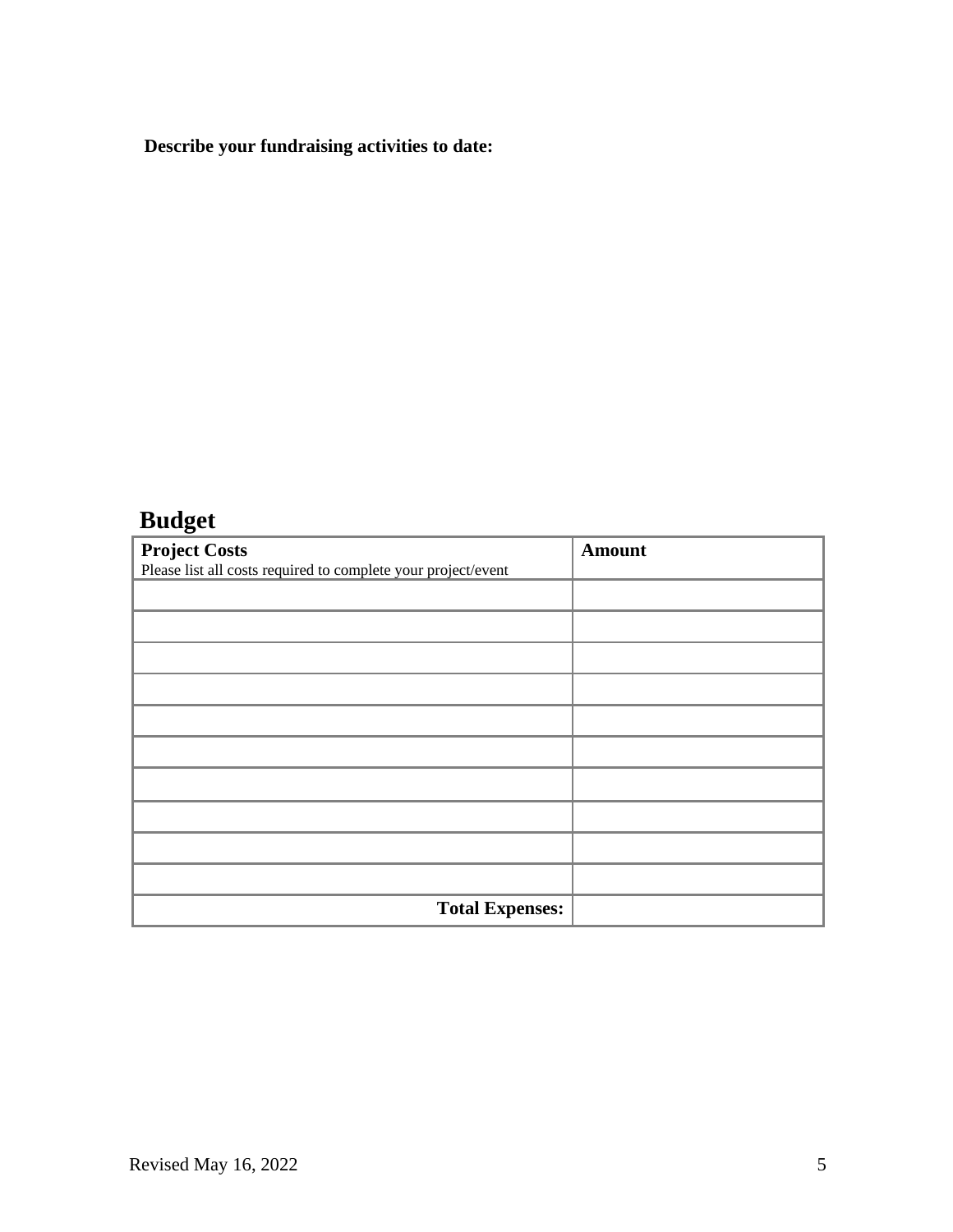# **Describe your fundraising activities to date:**

# **Budget**

| <b>Project Costs</b>                                          | <b>Amount</b> |
|---------------------------------------------------------------|---------------|
| Please list all costs required to complete your project/event |               |
|                                                               |               |
|                                                               |               |
|                                                               |               |
|                                                               |               |
|                                                               |               |
|                                                               |               |
|                                                               |               |
|                                                               |               |
|                                                               |               |
|                                                               |               |
| <b>Total Expenses:</b>                                        |               |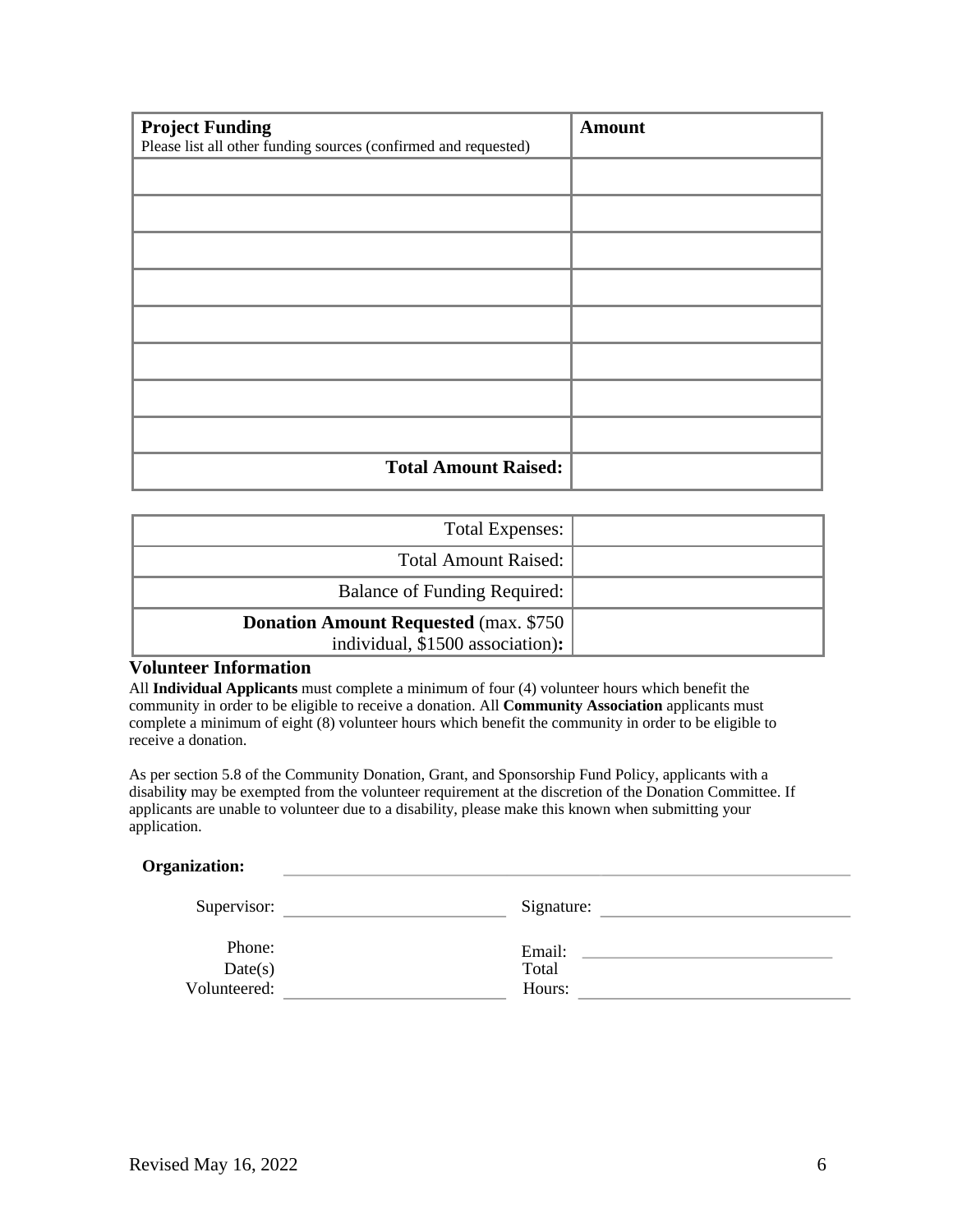| <b>Project Funding</b>                                          | <b>Amount</b> |
|-----------------------------------------------------------------|---------------|
| Please list all other funding sources (confirmed and requested) |               |
|                                                                 |               |
|                                                                 |               |
|                                                                 |               |
|                                                                 |               |
|                                                                 |               |
|                                                                 |               |
|                                                                 |               |
|                                                                 |               |
| <b>Total Amount Raised:</b>                                     |               |

| <b>Total Expenses:</b>                                                            |  |  |
|-----------------------------------------------------------------------------------|--|--|
| <b>Total Amount Raised:</b>                                                       |  |  |
| Balance of Funding Required:                                                      |  |  |
| <b>Donation Amount Requested (max. \$750)</b><br>individual, \$1500 association): |  |  |

### **Volunteer Information**

All **Individual Applicants** must complete a minimum of four (4) volunteer hours which benefit the community in order to be eligible to receive a donation. All **Community Association** applicants must complete a minimum of eight (8) volunteer hours which benefit the community in order to be eligible to receive a donation.

As per section 5.8 of the Community Donation, Grant, and Sponsorship Fund Policy, applicants with a disabilit**y** may be exempted from the volunteer requirement at the discretion of the Donation Committee. If applicants are unable to volunteer due to a disability, please make this known when submitting your application.

#### **Organization:**

| Supervisor:  | Signature: |
|--------------|------------|
| Phone:       | Email:     |
| Date(s)      | Total      |
| Volunteered: | Hours:     |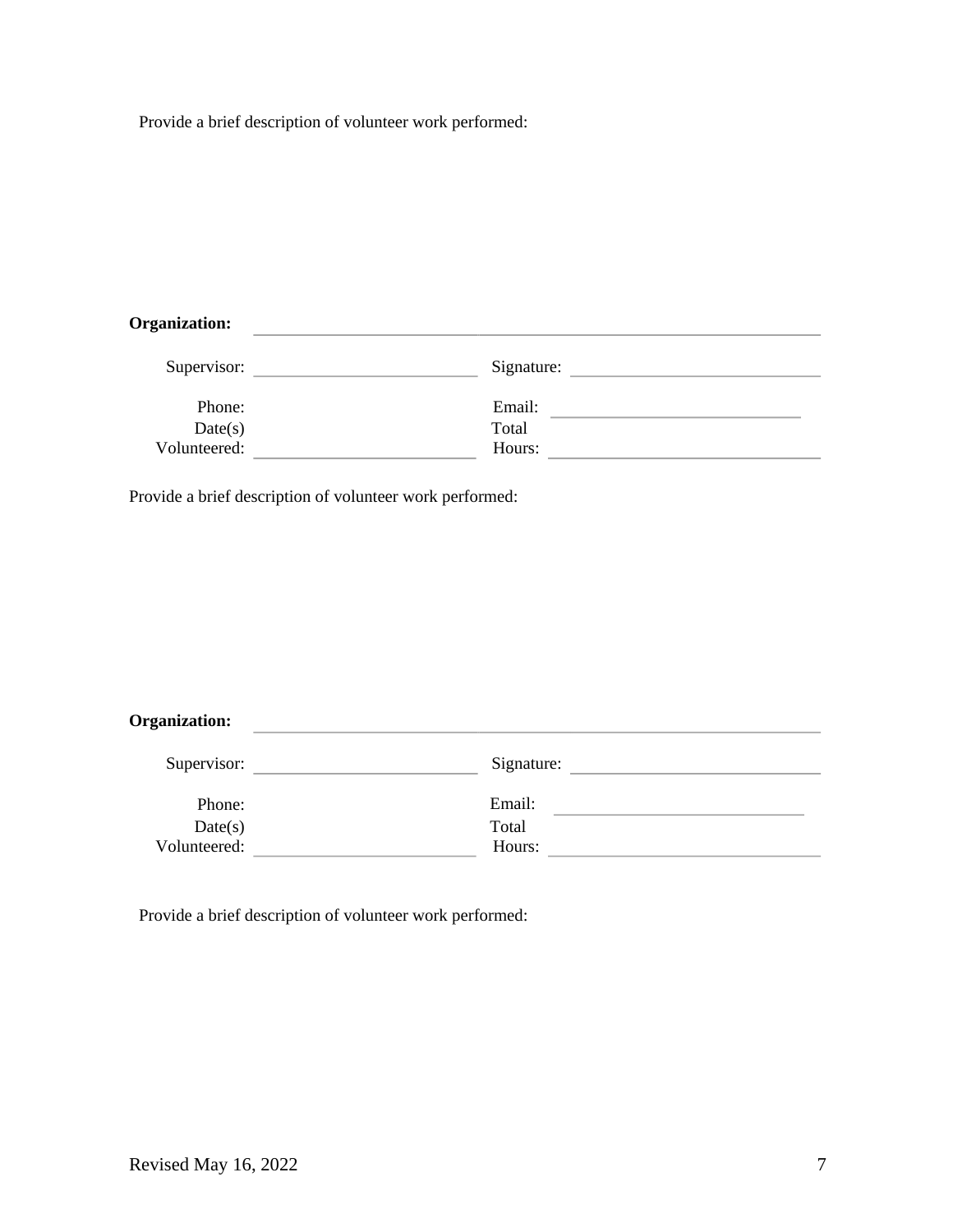Provide a brief description of volunteer work performed:

# **Organization:**

| Supervisor:  | Signature: |  |
|--------------|------------|--|
|              |            |  |
| Phone:       | Email:     |  |
| Date(s)      | Total      |  |
| Volunteered: | Hours:     |  |

Provide a brief description of volunteer work performed:

### **Organization:**

| Supervisor:  | Signature: |  |
|--------------|------------|--|
| Phone:       | Email:     |  |
| Date(s)      | Total      |  |
| Volunteered: | Hours:     |  |

the control of the control of the control of the control of the control of the control of

Provide a brief description of volunteer work performed: